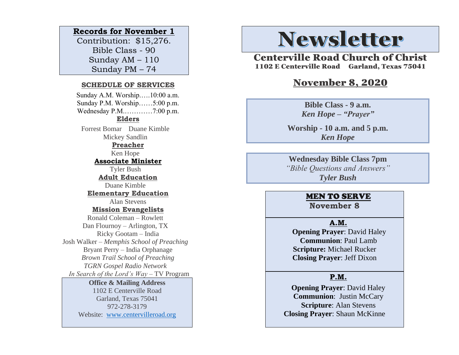## **Records for November 1**

Contribution: \$15,276. Bible Class - 90 Sunday AM – 110 Sunday PM – 74

#### **SCHEDULE OF SERVICES**

 Sunday A.M. Worship.….10:00 a.m. Sunday P.M. Worship……5:00 p.m. Wednesday P.M.…………7:00 p.m. **Elders** Forrest Bomar Duane Kimble Mickey Sandlin **Preacher** Ken Hope **Associate Minister** Tyler Bush **Adult Education** Duane Kimble **Elementary Education** Alan Stevens **Mission Evangelists** Ronald Coleman – Rowlett Dan Flournoy – Arlington, TX Ricky Gootam – India Josh Walker – *Memphis School of Preaching* Bryant Perry – India Orphanage *Brown Trail School of Preaching TGRN Gospel Radio Network In Search of the Lord's Way* – TV Program **Office & Mailing Address**

# 1102 E Centerville Road

Garland, Texas 75041 972-278-3179 Website: [www.centervilleroad.org](https://d.docs.live.net/97e199c461b763eb/Newsletter/News%202020/August%202020/www.centervilleroad.org)

# **Newsletter**

Centerville Road Church of Christ 1102 E Centerville Road Garland, Texas 75041

## November 8, 2020

**Bible Class - 9 a.m.** *Ken Hope – "Prayer"*

**Worship - 10 a.m. and 5 p.m.**  *Ken Hope*

**Wednesday Bible Class 7pm** *"Bible Questions and Answers" Tyler Bush*

### MEN TO SERVE

**November 8** 

#### **A.M.**

 **Opening Prayer**: David Haley **Communion**: Paul Lamb **Scripture:** Michael Rucker **Closing Prayer**: Jeff Dixon

#### **P.M.**

**Opening Prayer**: David Haley **Communion**: Justin McCary **Scripture**: Alan Stevens **Closing Prayer**: Shaun McKinne